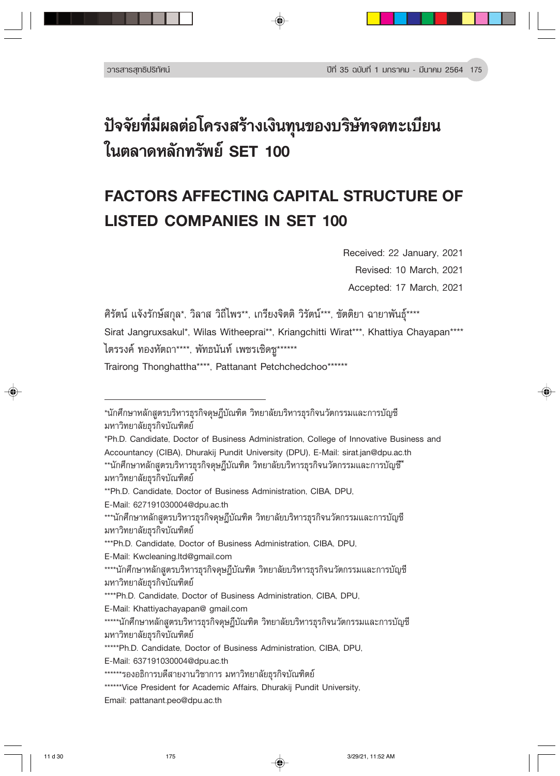# ปัจจัยที่มีผลต่อโครงสร้างเงินทุนของบริษัทจดทะเบียน ใบตลาดหลักทรัพย์ SFT 100

# **FACTORS AFFECTING CAPITAL STRUCTURE OF LISTED COMPANIES IN SET 100**

Received: 22 January, 2021 Revised: 10 March, 2021

Accepted: 17 March, 2021

ศิรัตน์ แจ้งรักษ์สกุล\*, วิลาส วิถีไพร\*\*, เกรียงจิตติ วิรัตน์\*\*\*, ขัตติยา ฉายาพันธุ์\*\*\*\* Sirat Jangruxsakul\*, Wilas Witheeprai\*\*, Kriangchitti Wirat\*\*\*, Khattiya Chayapan\*\*\*\* ไตรรงค์ ทองหัตถา\*\*\*\*, พัทธนันท์ เพชรเชิดช\*\*\*\*\*\*

Trairong Thonghattha\*\*\*\*, Pattanant Petchchedchoo\*\*\*\*\*\*

\*Ph.D. Candidate, Doctor of Business Administration, College of Innovative Business and Accountancy (CIBA), Dhurakij Pundit University (DPU), E-Mail: sirat.jan@dpu.ac.th

E-Mail: 627191030004@dpu.ac.th

<sup>\*</sup>นักศึกษาหลักสูตรบริหารธุรกิจดุษฎีบัณฑิต วิทยาลัยบริหารธุรกิจนวัตกรรมและการบัญชี มหาวิทยาลัยธุรกิจบัณฑิตย์

<sup>\*\*</sup>นักศึกษาหลักสูตรบริหารธุรกิจดุษฎีบัณฑิต วิทยาลัยบริหารธุรกิจนวัตกรรมและการบัญชี มหาวิทยาลัยธุรกิจบัณฑิตย์

<sup>\*\*</sup> Ph.D. Candidate, Doctor of Business Administration, CIBA, DPU,

<sup>\*\*\*</sup>นักศึกษาหลักสูตรบริหารธุรกิจดุษฎีบัณฑิต วิทยาลัยบริหารธุรกิจนวัตกรรมและการบัญชี มหาวิทยาลัยธุรกิจบัณฑิตย์

<sup>\*\*\*</sup> Ph.D. Candidate, Doctor of Business Administration, CIBA, DPU,

E-Mail: Kwcleaning.ltd@gmail.com

<sup>\*\*\*\*</sup>นักศึกษาหลักสูตรบริหารธุรกิจดุษฎีบัณฑิต วิทยาลัยบริหารธุรกิจนวัตกรรมและการบัญชี มหาวิทยาลัยธุรกิจบัณฑิตย์

<sup>\*\*\*\*</sup>Ph.D. Candidate, Doctor of Business Administration, CIBA, DPU,

E-Mail: Khattiyachayapan@ gmail.com

<sup>\*\*\*\*\*</sup>นักศึกษาหลักสูตรบริหารธุรกิจดุษฎีบัณฑิต วิทยาลัยบริหารธุรกิจนวัตกรรมและการบัญชี มหาวิทยาลัยธุรกิจบัณฑิตย์

<sup>\*\*\*\*\*</sup>Ph.D. Candidate, Doctor of Business Administration, CIBA, DPU,

E-Mail: 637191030004@dpu.ac.th

<sup>\*\*\*\*\*\*</sup>รองอธิการบดีสายงานวิชาการ มหาวิทยาลัยธุรกิจบัณฑิตย์

<sup>\*\*\*\*\*\*</sup>Vice President for Academic Affairs, Dhurakij Pundit University,

Email: pattanant.peo@dpu.ac.th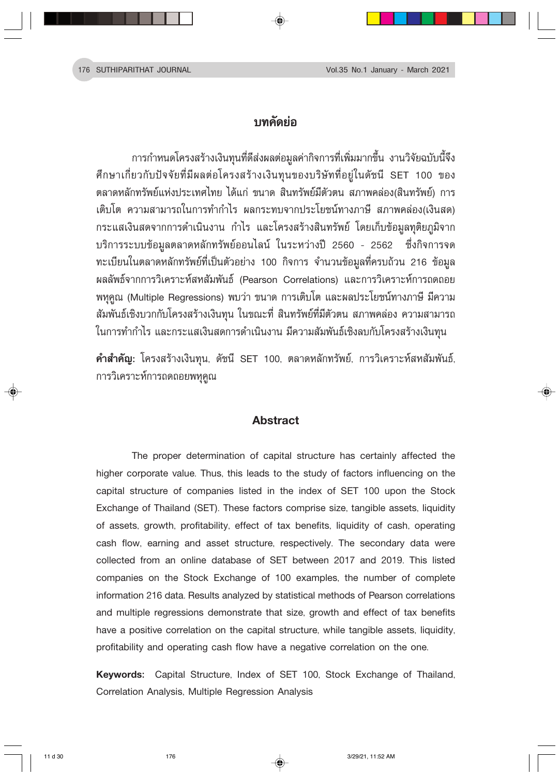### <u>าเทคัดย่อ</u>

ิการกำหนดโครงสร้างเงินทนที่ดีส่งผลต่อมลค่ากิจการที่เพิ่มมากขึ้น งานวิจัยฉบับนี้จึง ้ศึกษาเกี่ยวกับปัจจัยที่มีผลต่อโครงสร้างเงินทุนของบริษัทที่อยู่ในดัชนี SET 100 ของ ้ตลาดหลักทรัพย์แห่งประเทศไทย ได้แก่ ขนาด สินทรัพย์มีตัวตน สภาพคล่อง(สินทรัพย์) การ ้เติบโต ความสามารถในการทำกำไร ผลกระทบจากประโยชน์ทางภาษี สภาพคล่อง(เงินสด) ้กระแสเงินสดจากการดำเนินงาน กำไร และโครงสร้างสินทรัพย์ โดยเก็บข้อมูลทุติยภูมิจาก บริการระบบข้อมูลตลาดหลักทรัพย์ออนไลน์ ในระหว่างปี 2560 - 2562 ซึ่งกิจการจด ี ทะเบียนในตลาดหลักทรัพย์ที่เป็นตัวอย่าง 100 กิจการ จำนวนข้อมูลที่ครบถ้วน 216 ข้อมูล ผลลัพธ์จากการวิเคราะห์สหสัมพันธ์ (Pearson Correlations) และการวิเคราะห์การถดถอย พหุคูณ (Multiple Regressions) พบว่า ขนาด การเติบโต และผลประโยชน์ทางภาษี มีความ ้สัมพันธ์เชิงบวกกับโครงสร้างเงินทุน ในขณะที่ สินทรัพย์ที่มีตัวตน สภาพคล่อง ความสามารถ ในการทำกำไร และกระแสเงินสดการดำเนินงาน มีความสัมพันธ์เชิงลบกับโครงสร้างเงินทุน

คำสำคัญ: โครงสร้างเงินทุน, ดัชนี SET 100, ตลาดหลักทรัพย์, การวิเคราะห์สหสัมพันธ์, การวิเคราะห์การถดถอยพหุคูณ

#### **Abstract**

The proper determination of capital structure has certainly affected the higher corporate value. Thus, this leads to the study of factors influencing on the capital structure of companies listed in the index of SET 100 upon the Stock Exchange of Thailand (SET). These factors comprise size, tangible assets, liquidity of assets, growth, profitability, effect of tax benefits, liquidity of cash, operating cash flow, earning and asset structure, respectively. The secondary data were collected from an online database of SET between 2017 and 2019. This listed companies on the Stock Exchange of 100 examples, the number of complete information 216 data. Results analyzed by statistical methods of Pearson correlations and multiple regressions demonstrate that size, growth and effect of tax benefits have a positive correlation on the capital structure, while tangible assets, liquidity, profitability and operating cash flow have a negative correlation on the one.

Keywords: Capital Structure, Index of SET 100, Stock Exchange of Thailand, Correlation Analysis, Multiple Regression Analysis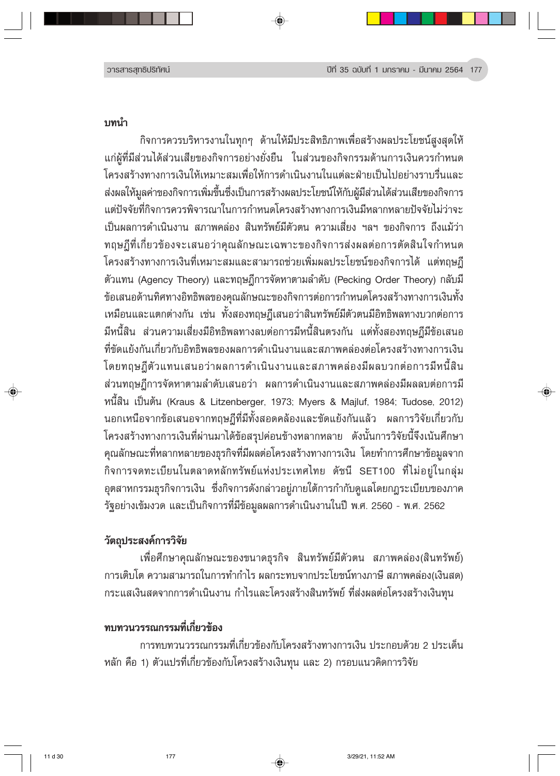#### <u>าเทนำ</u>

้กิจการควรบริหารงานในทุกๆ ด้านให้มีประสิทธิภาพเพื่อสร้างผลประโยชน์สงสดให้ แก่ผู้ที่มีส่วนได้ส่วนเสียของกิจการอย่างยั่งยืน ในส่วนของกิจกรรมด้านการเงินควรกำหนด โครงสร้างทางการเงินให้เหมาะสมเพื่อให้การดำเนินงานในแต่ละฝ่ายเป็นไปอย่างราบรื่นและ ส่งผลให้มูลค่าของกิจการเพิ่มขึ้นซึ่งเป็นการสร้างผลประโยชน์ให้กับผู้มีส่วนได้ส่วนเสียของกิจการ แต่ปัจจัยที่กิจการควรพิจารณาในการกำหนดโครงสร้างทางการเงินมีหลากหลายปัจจัยไม่ว่าจะ ้เป็นผลการดำเนินงาน สภาพคล่อง สินทรัพย์มีตัวตน ความเสี่ยง ฯลฯ ของกิจการ ถึงแม้ว่า ทฤษฎีที่เกี่ยวข้องจะเสนอว่าคุณลักษณะเฉพาะของกิจการส่งผลต่อการตัดสินใจกำหนด โครงสร้างทางการเงินที่เหมาะสมและสามารถช่วยเพิ่มผลประโยชน์ของกิจการได้ แต่ทฤษฎี ตัวแทน (Agency Theory) และทฤษฎีการจัดหาตามลำดับ (Pecking Order Theory) กลับมี ข้อเสนอด้านทิศทางอิทธิพลของคุณลักษณะของกิจการต่อการกำหนดโครงสร้างทางการเงินทั้ง เหมือนและแตกต่างกัน เช่น ทั้งสองทฤษฎีเสนอว่าสินทรัพย์มีตัวตนมีอิทธิพลทางบวกต่อการ มีหนี้สิน ส่วนความเสี่ยงมีอิทธิพลทางลบต่อการมีหนี้สินตรงกัน แต่ทั้งสองทฤษฎีมีข้อเสนอ ที่ขัดแย้งกันเกี่ยวกับอิทธิพลของผลการดำเนินงานและสภาพคล่องต่อโครงสร้างทางการเงิน โดยทฤษฎีตัวแทนเสนอว่าผลการดำเนินงานและสภาพคล่องมีผลบวกต่อการมีหนี้สิน ้ส่วนทฤษฎีการจัดหาตามลำดับเสนอว่า ผลการดำเนินงานและสภาพคล่องมีผลลบต่อการมี หนี้สิน เป็นต้น (Kraus & Litzenberger, 1973; Myers & Majluf, 1984; Tudose, 2012) นอกเหนือจากข้อเสนอจากทฤษฎีที่มีทั้งสอดคล้องและขัดแย้งกันแล้ว ผลการวิจัยเกี่ยวกับ โครงสร้างทางการเงินที่ผ่านมาได้ข้อสรุปค่อนข้างหลากหลาย ดังนั้นการวิจัยนี้จึงเน้นศึกษา คุณลักษณะที่หลากหลายของธุรกิจที่มีผลต่อโครงสร้างทางการเงิน โดยทำการศึกษาข้อมูลจาก ้กิจการจดทะเบียนในตลาดหลักทรัพย์แห่งประเทศไทย ดัชนี SET100 ที่ไม่อยู่ในกลุ่ม ้อุตสาหกรรมธุรกิจการเงิน ซึ่งกิจการดังกล่าวอยู่ภายใต้การกำกับดูแลโดยกฎระเบียบของภาค รัฐอย่างเข้มงวด และเป็นกิจการที่มีข้อมูลผลการดำเนินงานในปี พ.ศ. 2560 - พ.ศ. 2562

## วัตถุประสงค์การวิจัย

เพื่อศึกษาคุณลักษณะของขนาดธุรกิจ สินทรัพย์มีตัวตน สภาพคล่อง(สินทรัพย์) การเติบโต ความสามารถในการทำกำไร ผลกระทบจากประโยชน์ทางภาษี สภาพคล่อง(เงินสด) กระแสเงินสดจากการดำเนินงาน กำไรและโครงสร้างสินทรัพย์ ที่ส่งผลต่อโครงสร้างเงินทุน

## ิทบทวนวรรณกรรมที่เกี่ยวข้อง

ิการทบทวนวรรณกรรมที่เกี่ยวข้องกับโครงสร้างทางการเงิน ประกอบด้วย 2 ประเด็น หลัก คือ 1) ตัวแปรที่เกี่ยวข้องกับโครงสร้างเงินทุน และ 2) กรอบแนวคิดการวิจัย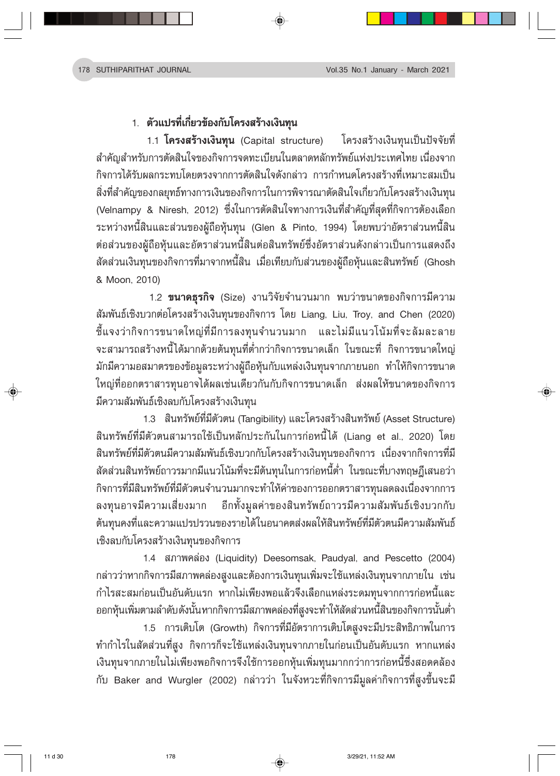## 1. ตัวแปรที่เกี่ยวข้องกับโครงสร้างเงินทน

1.1 โครงสร้างเงินทน (Capital structure) โครงสร้างเงินทนเป็นปัจจัยที่ ้สำคัญสำหรับการตัดสินใจของกิจการจดทะเบียนในตลาดหลักทรัพย์แห่งประเทศไทย เนื่องจาก ้กิจการได้รับผลกระทบโดยตรงจากการตัดสินใจดังกล่าว การกำหนดโครงสร้างที่เหมาะสมเป็น สิ่งที่สำคัญของกลยุทธ์ทางการเงินของกิจการในการพิจารณาตัดสินใจเกี่ยวกับโครงสร้างเงินทุน (Velnampy & Niresh, 2012) ซึ่งในการตัดสินใจทางการเงินที่สำคัญที่สุดที่กิจการต้องเลือก ี ระหว่างหนี้สินและส่วนของผู้ถือหุ้นทุน (Glen & Pinto, 1994) โดยพบว่าอัตราส่วนหนี้สิน ต่อส่วนของผู้ถือหุ้นและอัตราส่วนหนี้สินต่อสินทรัพย์ซึ่งอัตราส่วนดังกล่าวเป็นการแสดงถึง ี สัดส่วนเงินทุนของกิจการที่มาจากหนี้สิน เมื่อเทียบกับส่วนของผู้ถือหุ้นและสินทรัพย์ (Ghosh & Moon. 2010)

1.2 ขนาดธุรกิจ (Size) งานวิจัยจำนวนมาก พบว่าขนาดของกิจการมีความ สัมพันธ์เชิงบวกต่อโครงสร้างเงินทุนของกิจการ โดย Liang, Liu, Troy, and Chen (2020) ์ชี้แจงว่ากิจการขนาดใหญ่ที่มีการลงทุนจำนวนมาก และไม่มีแนวโน้มที่จะล้มละลาย ้จะสามารถสร้างหนี้ได้มากด้วยต้นทุนที่ต่ำกว่ากิจการขนาดเล็ก ในขณะที่ กิจการขนาดใหญ่ มักมีความอสมาตรของข้อมูลระหว่างผู้ถือหุ้นกับแหล่งเงินทุนจากภายนอก ทำให้กิจการขนาด ใหญ่ที่ออกตราสารทุนอาจได้ผลเช่นเดียวกันกับกิจการขนาดเล็ก ส่งผลให้ขนาดของกิจการ มีความสัมพันธ์เชิงลบกับโครงสร้างเงินทุน

1.3 สินทรัพย์ที่มีตัวตน (Tangibility) และโครงสร้างสินทรัพย์ (Asset Structure) ้สินทรัพย์ที่มีตัวตนสามารถใช้เป็นหลักประกันในการก่อหนี้ได้ (Liang et al., 2020) โดย ้สินทรัพย์ที่มีตัวตนมีความสัมพันธ์เชิงบวกกับโครงสร้างเงินทุนของกิจการ เนื่องจากกิจการที่มี ้สัดส่วนสินทรัพย์ถาวรมากมีแนวโน้มที่จะมีต้นทุนในการก่อหนี้ต่ำ ในขณะที่บางทฤษฎีเสนอว่า กิจการที่มีสินทรัพย์ที่มีตัวตนจำนวนมากจะทำให้ค่าของการออกตราสารทุนลดลงเนื่องจากการ ้ลงทุนอาจมีความเสี่ยงมาก อีกทั้งมูลค่าของสินทรัพย์ถาวรมีความสัมพันธ์เชิงบวกกับ ต้นทุนคงที่และความแปรปรวนของรายได้ในอนาคตส่งผลให้สินทรัพย์ที่มีตัวตนมีความสัมพันธ์ เชิงลบกับโครงสร้างเงินทนของกิจการ

1.4 สภาพคล่อง (Liquidity) Deesomsak, Paudyal, and Pescetto (2004) ึกล่าวว่าหากกิจการมีสภาพคล่องสูงและต้องการเงินทุนเพิ่มจะใช้แหล่งเงินทุนจากภายใน เช่น ้ กำไรสะสมก่อนเป็นอันดับแรก หากไม่เพียงพอแล้วจึงเลือกแหล่งระดมทุนจากการก่อหนี้และ ้ออกหุ้นเพิ่มตามลำดับดังนั้นหากกิจการมีสภาพคล่องที่สูงจะทำให้สัดส่วนหนี้สินของกิจการนั้นต่ำ

1.5 การเติบโต (Growth) กิจการที่มีอัตราการเติบโตสูงจะมีประสิทธิภาพในการ ทำกำไรในสัดส่วนที่สูง กิจการก็จะใช้แหล่งเงินทุนจากภายในก่อนเป็นอันดับแรก หากแหล่ง ้ เงินทุนจากภายในไม่เพียงพอกิจการจึงใช้การออกหุ้นเพิ่มทุนมากกว่าการก่อหนี้ซึ่งสอดคล้อง ี กับ Baker and Wurgler (2002) กล่าวว่า ในจังหวะที่กิจการมีมูลค่ากิจการที่สูงขึ้นจะมี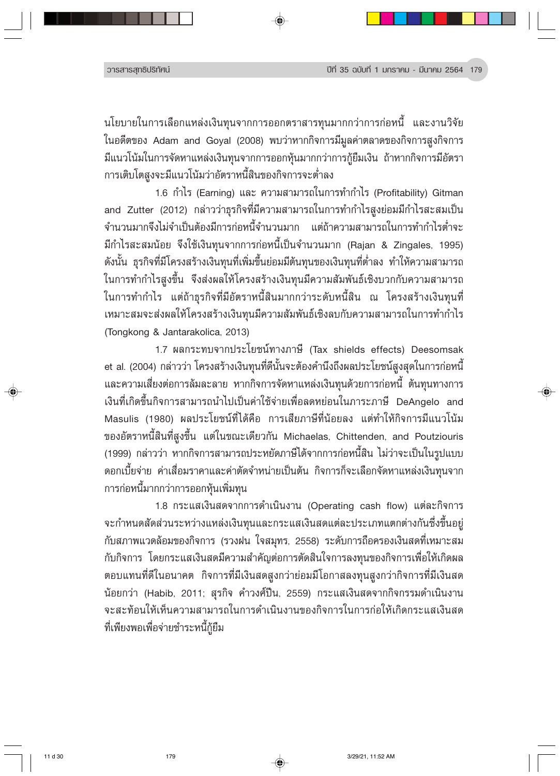นโยบายในการเลือกแหล่งเงินทนจากการออกตราสารทนมากกว่าการก่อหนี้ และงานวิจัย ในอดีตของ Adam and Goyal (2008) พบว่าหากกิจการมีมลค่าตลาดของกิจการสูงกิจการ ้มีแนวโน้มในการจัดหาแหล่งเงินทุนจากการออกหันมากกว่าการก้ยืมเงิน ถ้าหากกิจการมีอัตรา การเติบโตสงจะมีแนวโน้มว่าอัตราหนี้สินของกิจการจะต่ำลง

1.6 กำไร (Earning) และ ความสามารถในการทำกำไร (Profitability) Gitman and Zutter (2012) กล่าวว่าธุรกิจที่มีความสามารถในการทำกำไรสูงย่อมมีกำไรสะสมเป็น ้จำนวนมากจึงไม่จำเป็นต้องมีการก่อหนี้จำนวนมาก แต่ถ้าความสามารถในการทำกำไรต่ำจะ มีกำไรสะสมน้อย จึงใช้เงินทุนจากการก่อหนี้เป็นจำนวนมาก (Rajan & Zingales, 1995) ้ดังนั้น ธุรกิจที่มีโครงสร้างเงินทุนที่เพิ่มขึ้นย่อมมีต้นทุนของเงินทุนที่ต่ำลง ทำให้ความสามารถ ในการทำกำไรสูงขึ้น จึงส่งผลให้โครงสร้างเงินทุนมีความสัมพันธ์เชิงบวกกับความสามารถ ในการทำกำไร แต่ถ้าธุรกิจที่มีอัตราหนี้สินมากกว่าระดับหนี้สิน ณ โครงสร้างเงินทุนที่ เหมาะสมจะส่งผลให้โครงสร้างเงินทุนมีความสัมพันธ์เชิงลบกับความสามารถในการทำกำไร (Tongkong & Jantarakolica, 2013)

1.7 ผลกระทบจากประโยชน์ทางภาษี (Tax shields effects) Deesomsak et al. (2004) กล่าวว่า โครงสร้างเงินทุนที่ดีนั้นจะต้องคำนึงถึงผลประโยชน์สูงสุดในการก่อหนี้ ้ และความเสี่ยงต่อการล้มละลาย หากกิจการจัดหาแหล่งเงินทุนด้วยการก่อหนี้ ต้นทุนทางการ เงินที่เกิดขึ้นกิจการสามารถนำไปเป็นค่าใช้จ่ายเพื่อลดหย่อนในภาระภาษี DeAngelo and Masulis (1980) ผลประโยชน์ที่ได้คือ การเสียภาษีที่น้อยลง แต่ทำให้กิจการมีแนวโน้ม ของอัตราหนี้สินที่สูงขึ้น แต่ในขณะเดียวกัน Michaelas, Chittenden, and Poutziouris (1999) กล่าวว่า หากกิจการสามารถประหยัดภาษีได้จากการก่อหนี้สิน ไม่ว่าจะเป็นในรูปแบบ ดอกเบี้ยจ่าย ค่าเสื่อมราคาและค่าตัดจำหน่ายเป็นต้น กิจการก็จะเลือกจัดหาแหล่งเงินทุนจาก การก่อหนี้มากกว่าการออกหุ้นเพิ่มทุน

1.8 กระแสเงินสดจากการดำเนินงาน (Operating cash flow) แต่ละกิจการ จะกำหนดสัดส่วนระหว่างแหล่งเงินทุนและกระแสเงินสดแต่ละประเภทแตกต่างกันซึ่งขึ้นอยู่ ึกับสภาพแวดล้อมของกิจการ (รวงฝน ใจสมุทร, 2558) ระดับการถือครองเงินสดที่เหมาะสม ้กับกิจการ โดยกระแสเงินสดมีความสำคัญต่อการตัดสินใจการลงทุนของกิจการเพื่อให้เกิดผล ตอบแทนที่ดีในอนาคต กิจการที่มีเงินสดสูงกว่าย่อมมีโอกาสลงทุนสูงกว่ากิจการที่มีเงินสด น้อยกว่า (Habib, 2011; สุรกิจ คำวงศ์ปืน, 2559) กระแสเงินสดจากกิจกรรมดำเนินงาน จะสะท้อนให้เห็นความสามารถในการดำเนินงานของกิจการในการก่อให้เกิดกระแสเงินสด ที่เพียงพอเพื่อจ่ายชำระหนี้กู้ยืม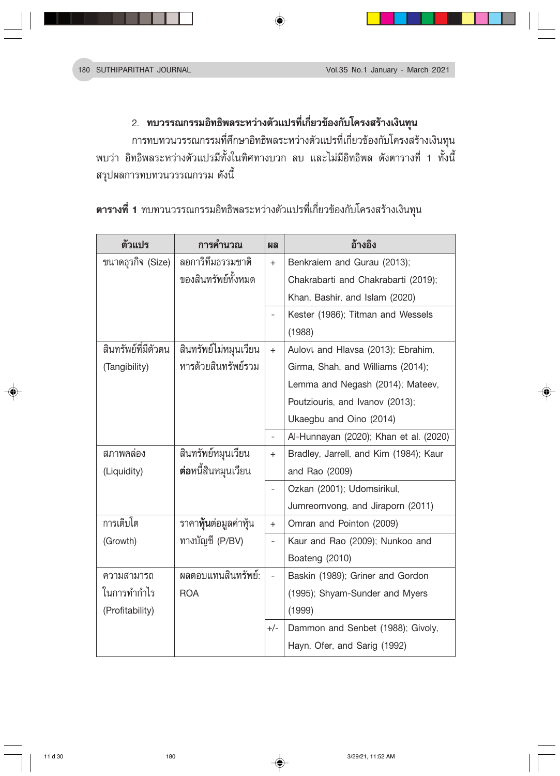# 2. ทบวรรณกรรมอิทธิพลระหว่างตัวแปรที่เกี่ยวข้องกับโครงสร้างเงินทุน

ี<br>การทบทวนวรรณกรรมที่ศึกษาอิทธิพลระหว่างตัวแปรที่เกี่ยวข้องกับโครงสร้างเงินทุน ี พบว่า อิทธิพลระหว่างตัวแปรมีทั้งในทิศทางบวก ลบ และไม่มีอิทธิพล ดังตารางที่ 1 ทั้งนี้ ้สรุปผลการทบทวนวรรณกรรม ดังนี้

# ี **ตารางที่ 1** ทบทวนวรรณกรรมอิทธิพลระหว่างตัวแปรที่เกี่ยวข้องกับโครงสร้างเงินทุน

| ตัวแปร              | การคำนวณ                       | ผล                       | อ้างอิง                                |
|---------------------|--------------------------------|--------------------------|----------------------------------------|
| ขนาดธุรกิจ (Size)   | ลอการิทึมธรรมชาติ              | $+$                      | Benkraiem and Gurau (2013);            |
|                     | ของสินทรัพย์ทั้งหมด            |                          | Chakrabarti and Chakrabarti (2019);    |
|                     |                                |                          | Khan, Bashir, and Islam (2020)         |
|                     |                                |                          | Kester (1986); Titman and Wessels      |
|                     |                                |                          | (1988)                                 |
| สินทรัพย์ที่มีตัวตน | สินทรัพย์ไม่หมุนเวียน          | $^{+}$                   | Aulovt and Hlavsa (2013); Ebrahim,     |
| (Tangibility)       | หารด้วยสินทรัพย์รวม            |                          | Girma, Shah, and Williams (2014);      |
|                     |                                |                          | Lemma and Negash (2014); Mateev,       |
|                     |                                |                          | Poutziouris, and Ivanov (2013);        |
|                     |                                |                          | Ukaegbu and Oino (2014)                |
|                     |                                |                          | Al-Hunnayan (2020); Khan et al. (2020) |
| สภาพคล่อง           | สินทรัพย์หมุนเวียน             | $^{+}$                   | Bradley, Jarrell, and Kim (1984); Kaur |
| (Liquidity)         | <b>ต่อ</b> หนี้สินหมุนเวียน    |                          | and Rao (2009)                         |
|                     |                                |                          | Ozkan (2001); Udomsirikul,             |
|                     |                                |                          | Jumreornvong, and Jiraporn (2011)      |
| การเติบโต           | ราคา <b>หุ้น</b> ต่อมูลค่าหุ้น | $^{+}$                   | Omran and Pointon (2009)               |
| (Growth)            | ทางบัญชี (P/BV)                | $\overline{\phantom{a}}$ | Kaur and Rao (2009); Nunkoo and        |
|                     |                                |                          | Boateng (2010)                         |
| ความสามารถ          | ผลตอบแทนสินทรัพย์:             |                          | Baskin (1989); Griner and Gordon       |
| ในการทำกำไร         | <b>ROA</b>                     |                          | (1995); Shyam-Sunder and Myers         |
| (Profitability)     |                                |                          | (1999)                                 |
|                     |                                | $+/-$                    | Dammon and Senbet (1988); Givoly,      |
|                     |                                |                          | Hayn, Ofer, and Sarig (1992)           |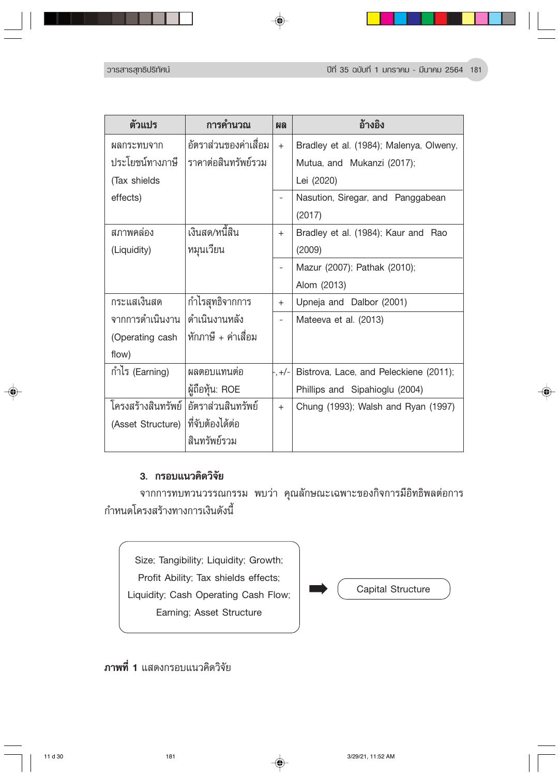| ตัวแปร             | การคำนวณ              | ผล    | อ้างอิง                                 |
|--------------------|-----------------------|-------|-----------------------------------------|
| ผลกระทบจาก         | อัตราส่วนของค่าเสื้อม | $+$   | Bradley et al. (1984); Malenya, Olweny, |
| ประโยชน์ทางภาษี    | ราคาต่อสินทรัพย์รวม   |       | Mutua, and Mukanzi (2017);              |
| (Tax shields       |                       |       | Lei (2020)                              |
| effects)           |                       |       | Nasution, Siregar, and Panggabean       |
|                    |                       |       | (2017)                                  |
| สภาพคล่อง          | เงินสด/หนี้สิน        | $+$   | Bradley et al. (1984); Kaur and Rao     |
| (Liquidity)        | หมุนเวียน             |       | (2009)                                  |
|                    |                       |       | Mazur (2007); Pathak (2010);            |
|                    |                       |       | Alom (2013)                             |
| กระแสเงินสด        | กำไรสุทธิจากการ       | $+$   | Upneja and Dalbor (2001)                |
| จากการดำเนินงาน    | ดำเนินงานหลัง         |       | Mateeva et al. (2013)                   |
| (Operating cash    | หักภาษี + ค่าเสื่อม   |       |                                         |
| flow)              |                       |       |                                         |
| กำไร (Earning)     | ผลตอบแทนต่อ           | $+/-$ | Bistrova, Lace, and Peleckiene (2011);  |
|                    | ผู้ถือหุ้น: ROE       |       | Phillips and Sipahioglu (2004)          |
| โครงสร้างสินทรัพย์ | อัตราส่วนสินทรัพย์    | $+$   | Chung (1993); Walsh and Ryan (1997)     |
| (Asset Structure)  | ที่จับต้องได้ต่อ      |       |                                         |
|                    | สินทรัพย์รวม          |       |                                         |

#### 3. กรอบแนวคิดวิจัย

จากการทบทวนวรรณกรรม พบว่า คุณลักษณะเฉพาะของกิจการมีอิทธิพลต่อการ กำหนดโครงสร้างทางการเงินดังนี้

Size; Tangibility; Liquidity; Growth; Profit Ability; Tax shields effects; Liquidity; Cash Operating Cash Flow; Earning; Asset Structure



**ภาพที่ 1** แสดงกรอบแนวคิดวิจัย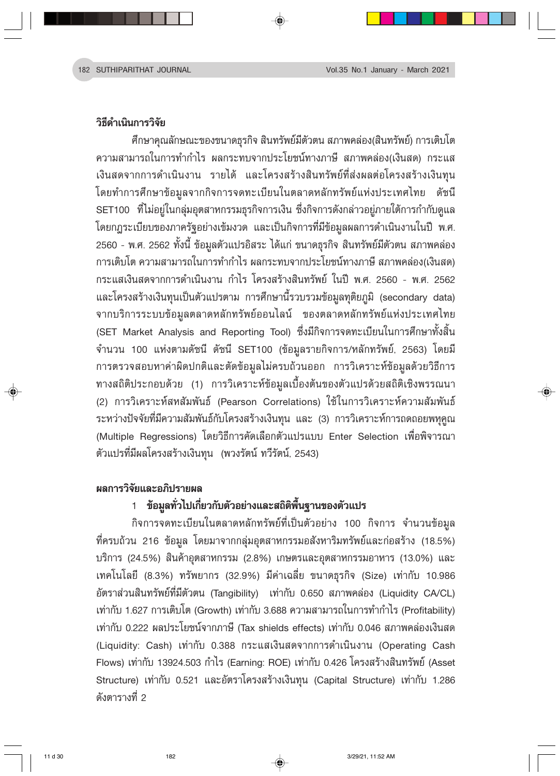#### วิธีดำเนินการวิจัย

ศึกษาคณลักษณะของขนาดธุรกิจ สินทรัพย์มีตัวตน สภาพคล่อง(สินทรัพย์) การเติบโต ้ความสามารถในการทำกำไร ผลกระทบจากประโยชน์ทางภาษี สภาพคล่อง(เงินสด) กระแส เงินสดจากการดำเนินงาน รายได้ และโครงสร้างสินทรัพย์ที่ส่งผลต่อโครงสร้างเงินทุน โดยทำการศึกษาข้อมูลจากกิจการจดทะเบียนในตลาดหลักทรัพย์แห่งประเทศไทย ดัชนี SET100 ที่ไม่อยู่ในกลุ่มอุตสาหกรรมธุรกิจการเงิน ซึ่งกิจการดังกล่าวอยู่ภายใต้การกำกับดูแล โดยกฎระเบียบของภาครัฐอย่างเข้มงวด และเป็นกิจการที่มีข้อมูลผลการดำเนินงานในปี พ.ศ. 2560 - พ.ศ. 2562 ทั้งนี้ ข้อมูลตัวแปรอิสระ ได้แก่ ขนาดธุรกิจ สินทรัพย์มีตัวตน สภาพคล่อง การเติบโต ความสามารถในการทำกำไร ผลกระทบจากประโยชน์ทางภาษี สภาพคล่อง(เงินสด) กระแสเงินสดจากการดำเนินงาน กำไร โครงสร้างสินทรัพย์ ในปี พ.ศ. 2560 - พ.ศ. 2562 และโครงสร้างเงินทุนเป็นตัวแปรตาม การศึกษานี้รวบรวมข้อมูลทุติยภูมิ (secondary data) จากบริการระบบข้อมูลตลาดหลักทรัพย์ออนไลน์ ของตลาดหลักทรัพย์แห่งประเทศไทย (SET Market Analysis and Reporting Tool) ซึ่งมีกิจการจดทะเบียนในการศึกษาทั้งสิ้น จำนวน 100 แห่งตามดัชนี ดัชนี SET100 (ข้อมูลรายกิจการ/หลักทรัพย์, 2563) โดยมี การตรวจสอบหาค่าผิดปกติและตัดข้อมูลไม่ครบถ้วนออก การวิเคราะห์ข้อมูลด้วยวิธีการ ทางสถิติประกอบด้วย (1) การวิเคราะห์ข้อมูลเบื้องต้นของตัวแปรด้วยสถิติเชิงพรรณนา (2) การวิเคราะห์สหสัมพันธ์ (Pearson Correlations) ใช้ในการวิเคราะห์ความสัมพันธ์ ระหว่างปัจจัยที่มีความสัมพันธ์กับโครงสร้างเงินทุน และ (3) การวิเคราะห์การถดถอยพหุคูณ (Multiple Regressions) โดยวิธีการคัดเลือกตัวแปรแบบ Enter Selection เพื่อพิจารณา ตัวแปรที่มีผลโครงสร้างเงินทุน (พวงรัตน์ ทวีรัตน์, 2543)

### ผลการวิจัยและอภิปรายผล

## 1 ข้อมูลทั่วไปเกี่ยวกับตัวอย่างและสถิติพื้นฐานของตัวแปร

กิจการจดทะเบียนในตลาดหลักทรัพย์ที่เป็นตัวอย่าง 100 กิจการ จำนวนข้อมูล ที่ครบถ้วน 216 ข้อมูล โดยมาจากกลุ่มอุตสาหกรรมอสังหาริมทรัพย์และก่อสร้าง (18.5%) บริการ (24.5%) สินค้าอุตสาหกรรม (2.8%) เกษตรและอุตสาหกรรมอาหาร (13.0%) และ เทคโนโลยี (8.3%) ทรัพยากร (32.9%) มีค่าเฉลี่ย ขนาดธุรกิจ (Size) เท่ากับ 10.986 อัตราส่วนสินทรัพย์ที่มีตัวตน (Tangibility) เท่ากับ 0.650 สภาพคล่อง (Liquidity CA/CL) เท่ากับ 1.627 การเติบโต (Growth) เท่ากับ 3.688 ความสามารถในการทำกำไร (Profitability) ู เท่ากับ 0.222 ผลประโยชน์จากภาษี (Tax shields effects) เท่ากับ 0.046 สภาพคล่องเงินสด (Liquidity: Cash) เท่ากับ 0.388 กระแสเงินสดจากการดำเนินงาน (Operating Cash Flows) เท่ากับ 13924.503 กำไร (Earning: ROE) เท่ากับ 0.426 โครงสร้างสินทรัพย์ (Asset Structure) เท่ากับ 0.521 และอัตราโครงสร้างเงินทุน (Capital Structure) เท่ากับ 1.286 ้ดังตารางที่ 2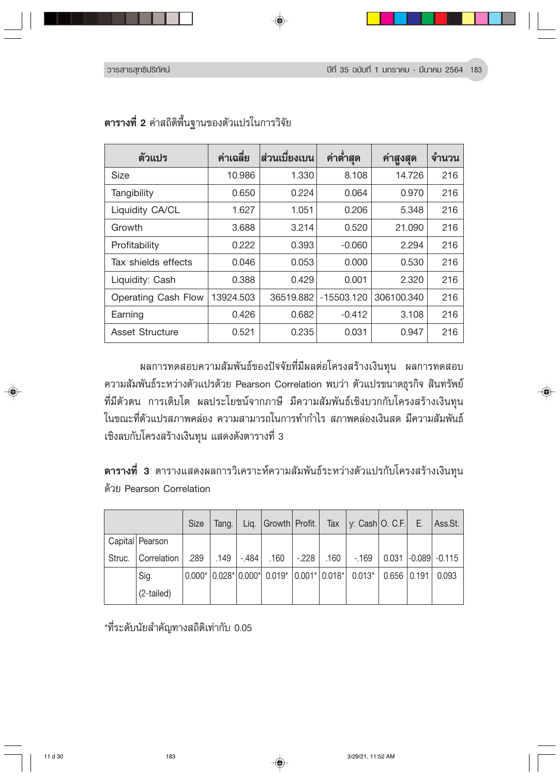| ตัวแปร              | ค่าเฉลี่ย | ่ส่วนเบียงเบน | ค่าต่ำสด     | ค่าสงสด    | จำนวน |
|---------------------|-----------|---------------|--------------|------------|-------|
| Size                | 10.986    | 1.330         | 8.108        | 14.726     | 216   |
| Tangibility         | 0.650     | 0.224         | 0.064        | 0.970      | 216   |
| Liquidity CA/CL     | 1.627     | 1.051         | 0.206        | 5.348      | 216   |
| Growth              | 3.688     | 3.214         | 0.520        | 21.090     | 216   |
| Profitability       | 0.222     | 0.393         | $-0.060$     | 2.294      | 216   |
| Tax shields effects | 0.046     | 0.053         | 0.000        | 0.530      | 216   |
| Liquidity: Cash     | 0.388     | 0.429         | 0.001        | 2.320      | 216   |
| Operating Cash Flow | 13924.503 | 36519.882     | $-15503.120$ | 306100.340 | 216   |
| Earning             | 0.426     | 0.682         | $-0.412$     | 3.108      | 216   |
| Asset Structure     | 0.521     | 0.235         | 0.031        | 0.947      | 216   |

## **ตารางที่ 2** ค่าสถิติพื้นจานของตัวแปรในการวิจัย

ผลการทดสอบความสัมพันธ์ของปัจจัยที่มีผลต่อโครงสร้างเงินทุน ผลการทดสอบ ความสัมพันธ์ระหว่างตัวแปรด้วย Pearson Correlation พบว่า ตัวแปรขนาดธุรกิจ สินทรัพย์ ที่มีตัวตน การเติบโต ผลประโยชน์จากภาษี มีความสัมพันธ์เชิงบวกกับโครงสร้างเงินทุน ในขณะที่ตัวแปรสภาพคล่อง ความสามารถในการทำกำไร สภาพคล่องเงินสด มีความสัมพันธ์ เชิงลบกับโครงสร้างเงินทุน แสดงดังตารางที่ 3

ี **ตารางที่ 3** ตารางแสดงผลการวิเคราะห์ความสัมพันธ์ระหว่างตัวแปรกับโครงสร้างเงินทุน ด้วย Pearson Correlation

|        |                   | Size | Tang. |                    |                |      | Liq. $ $ Growth $ $ Profit. $ $ Tax $ $ y: Cash $ $ O. C.F. $ $ E. |  | Ass.St.                            |
|--------|-------------------|------|-------|--------------------|----------------|------|--------------------------------------------------------------------|--|------------------------------------|
|        | Capital   Pearson |      |       |                    |                |      |                                                                    |  |                                    |
| Struc. | Correlation       | .289 | .149  | $\vert -484 \vert$ | $.160$ $-.228$ | .160 |                                                                    |  | $-169$   0.031 $ -0.089 $ $-0.115$ |
|        | Sig.              |      |       |                    |                |      | $0.000* 0.028* 0.000* 0.019* 0.001* 0.018* 0.013* 0.656 0.191 $    |  | 0.093                              |
|        | (2-tailed)        |      |       |                    |                |      |                                                                    |  |                                    |

\*ที่ระดับนัยสำคัญทางสถิติเท่ากับ 0.05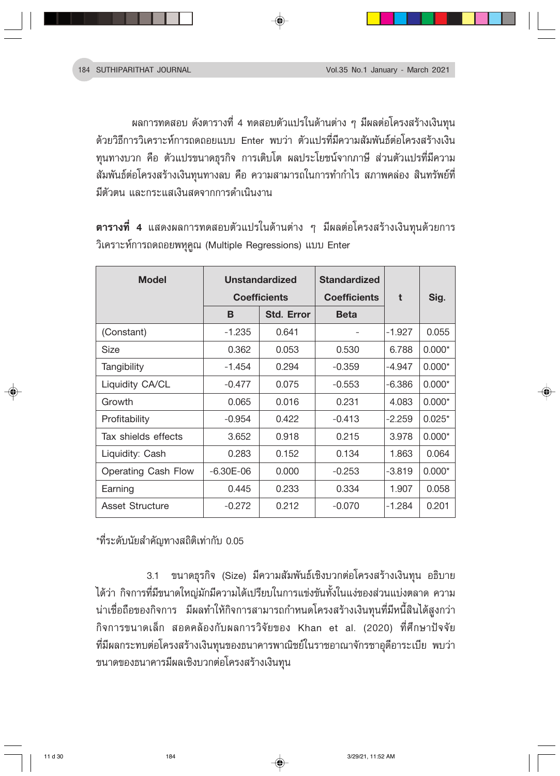้ผลการทดสอบ ดังตารางที่ 4 ทดสอบตัวแปรในด้านต่าง ๆ มีผลต่อโครงสร้างเงินทน ้ด้วยวิธีการวิเคราะห์การถดถอยแบบ Enter พบว่า ตัวแปรที่มีความสัมพันธ์ต่อโครงสร้างเงิน ทนทางบวก คือ ตัวแปรขนาดธรกิจ การเติบโต ผลประโยชน์จากภาษี ส่วนตัวแปรที่มีความ ้สัมพันธ์ต่อโครงสร้างเงินทุนทางลบ คือ ความสามารถในการทำกำไร สภาพคล่อง สินทรัพย์ที่ มีตัวตน และกระแสเงินสดจากการดำเบินงาน

ี **ตารางที่ 4** แสดงผลการทดสอบตัวแปรในด้านต่าง ๆ มีผลต่อโครงสร้างเงินทุนด้วยการ วิเคราะห์การถดถอยพหุคูณ (Multiple Regressions) แบบ Enter

| <b>Model</b>        | <b>Unstandardized</b>  |       | <b>Standardized</b> |          |          |
|---------------------|------------------------|-------|---------------------|----------|----------|
|                     | <b>Coefficients</b>    |       | <b>Coefficients</b> |          | Sig.     |
|                     | <b>Std. Error</b><br>B |       | <b>Beta</b>         |          |          |
| (Constant)          | $-1.235$               | 0.641 |                     | $-1.927$ | 0.055    |
| Size                | 0.362                  | 0.053 | 0.530               | 6.788    | $0.000*$ |
| Tangibility         | $-1.454$               | 0.294 | $-0.359$            | $-4.947$ | $0.000*$ |
| Liquidity CA/CL     | $-0.477$               | 0.075 | $-0.553$            | $-6.386$ | $0.000*$ |
| Growth              | 0.065                  | 0.016 | 0.231               | 4.083    | $0.000*$ |
| Profitability       | $-0.954$               | 0.422 | $-0.413$            | $-2.259$ | $0.025*$ |
| Tax shields effects | 3.652                  | 0.918 | 0.215               | 3.978    | $0.000*$ |
| Liquidity: Cash     | 0.283                  | 0.152 | 0.134               | 1.863    | 0.064    |
| Operating Cash Flow | $-6.30E - 06$          | 0.000 | $-0.253$            | $-3.819$ | $0.000*$ |
| Earning             | 0.445                  | 0.233 | 0.334               | 1.907    | 0.058    |
| Asset Structure     | $-0.272$               | 0.212 | $-0.070$            | $-1.284$ | 0.201    |

\*ที่ระดับนัยสำคัญทางสถิติเท่ากับ 0.05

ขนาดธุรกิจ (Size) มีความสัมพันธ์เชิงบวกต่อโครงสร้างเงินทุน อธิบาย  $3.1$ ได้ว่า กิจการที่มีขนาดใหญ่มักมีความได้เปรียบในการแข่งขันทั้งในแง่ของส่วนแบ่งตลาด ความ ้น่าเชื่อถือของกิจการ มีผลทำให้กิจการสามารถกำหนดโครงสร้างเงินทุนที่มีหนี้สินได้สูงกว่า ้กิจการขนาดเล็ก สอดคล้องกับผลการวิจัยของ Khan et al. (2020) ที่ศึกษาปัจจัย ที่มีผลกระทบต่อโครงสร้างเงินทุนของธนาคารพาณิชย์ในราชอาณาจักรซาอุดีอาระเบีย พบว่า ขนาดของธนาคารมีผลเชิงบวกต่อโครงสร้างเงินทุน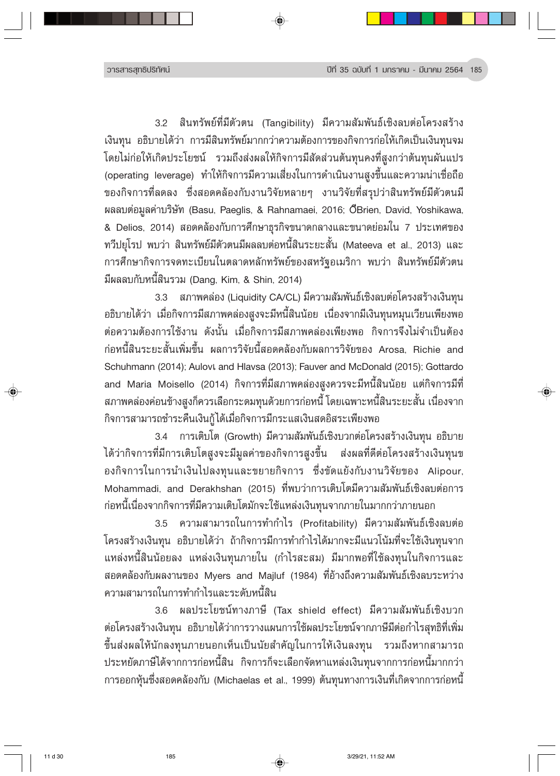ี สินทรัพย์ที่มีตัวตน (Tangibility) มีความสัมพันธ์เชิงลบต่อโครงสร้าง  $3.2$ เงินทน อธิบายได้ว่า การมีสินทรัพย์มากกว่าความต้องการของกิจการก่อให้เกิดเป็นเงินทนจม โดยไม่ก่อให้เกิดประโยชน์ รวมถึงส่งผลให้กิจการมีสัดส่วนต้นทุนคงที่สูงกว่าต้นทุนผันแปร (operating leverage) ทำให้กิจการมีความเสี่ยงในการดำเนินงานสูงขึ้นและความน่าเชื่อถือ ของกิจการที่ลดลง ซึ่งสอดคล้องกับงานวิจัยหลายๆ งานวิจัยที่สรุปว่าสินทรัพย์มีตัวตนมี ผลลบต่อมูลค่าบริษัท (Basu, Paeglis, & Rahnamaei, 2016; OBrien, David, Yoshikawa, & Delios, 2014) สอดคล้องกับการศึกษาธุรกิจขนาดกลางและขนาดย่อมใน 7 ประเทศของ ิ ทวีปยุโรป พบว่า สินทรัพย์มีตัวตนมีผลลบต่อหนี้สินระยะสั้น (Mateeva et al., 2013) และ การศึกษากิจการจดทะเบียนในตลาดหลักทรัพย์ของสหรัฐอเมริกา พบว่า สินทรัพย์มีตัวตน มีผลลบกับหนี้สินรวม (Dang, Kim, & Shin, 2014)

3.3 สภาพคล่อง (Liquidity CA/CL) มีความสัมพันธ์เชิงลบต่อโครงสร้างเงินทุน ้อธิบายได้ว่า เมื่อกิจการมีสภาพคล่องสูงจะมีหนี้สินน้อย เนื่องจากมีเงินทุนหมุนเวียนเพียงพอ ้ต่อความต้องการใช้งาน ดังนั้น เมื่อกิจการมีสภาพคล่องเพียงพอ กิจการจึงไม่จำเป็นต้อง ก่อหนี้สินระยะสั้นเพิ่มขึ้น ผลการวิจัยนี้สอดคล้องกับผลการวิจัยของ Arosa, Richie and Schuhmann (2014); Aulovi and Hlavsa (2013); Fauver and McDonald (2015); Gottardo and Maria Moisello (2014) กิจการที่มีสภาพคล่องสูงควรจะมีหนี้สินน้อย แต่กิจการมีที่ ี่ สภาพคล่องค่อนข้างสูงก็ควรเลือกระดมทุนด้วยการก่อหนี้ โดยเฉพาะหนี้สินระยะสั้น เนื่องจาก กิจการสามารถชำระคืนเงินกู้ได้เมื่อกิจการมีกระแสเงินสดอิสระเพียงพอ

การเติบโต (Growth) มีความสัมพันธ์เชิงบวกต่อโครงสร้างเงินทุน อธิบาย  $3.4$ ได้ว่ากิจการที่มีการเติบโตสูงจะมีมูลค่าของกิจการสูงขึ้น ส่งผลที่ดีต่อโครงสร้างเงินทุนข องกิจการในการนำเงินไปลงทุนและขยายกิจการ ซึ่งขัดแย้งกับงานวิจัยของ Alipour, Mohammadi, and Derakhshan (2015) ที่พบว่าการเติบโตมีความสัมพันธ์เชิงลบต่อการ ก่อหนี้เนื่องจากกิจการที่มีความเติบโตมักจะใช้แหล่งเงินทุนจากภายในมากกว่าภายนอก

3.5 ความสามารถในการทำกำไร (Profitability) มีความสัมพันธ์เชิงลบต่อ โครงสร้างเงินทุน อธิบายได้ว่า ถ้ากิจการมีการทำกำไรได้มากจะมีแนวโน้มที่จะใช้เงินทุนจาก ี่แหล่งหนี้สินน้อยลง แหล่งเงินทุนภายใน (กำไรสะสม) มีมากพอที่ใช้ลงทุนในกิจการและ ิสอดคล้องกับผลงานของ Myers and Majluf (1984) ที่อ้างถึงความสัมพันธ์เชิงลบระหว่าง ความสามารถในการทำกำไรและระดับหนี้สิน

ผลประโยชน์ทางภาษี (Tax shield effect) มีความสัมพันธ์เชิงบวก  $3.6$ ต่อโครงสร้างเงินทุน อธิบายได้ว่าการวางแผนการใช้ผลประโยชน์จากภาษีมีต่อกำไรสุทธิที่เพิ่ม ขึ้นส่งผลให้นักลงทุนภายนอกเห็นเป็นนัยสำคัญในการให้เงินลงทุน รวมถึงหากสามารถ ี ประหยัดภาษีได้จากการก่อหนี้สิน กิจการก็จะเลือกจัดหาแหล่งเงินทุนจากการก่อหนี้มากกว่า ี การออกหุ้นซึ่งสอดคล้องกับ (Michaelas et al., 1999) ต้นทุนทางการเงินที่เกิดจากการก่อหนี้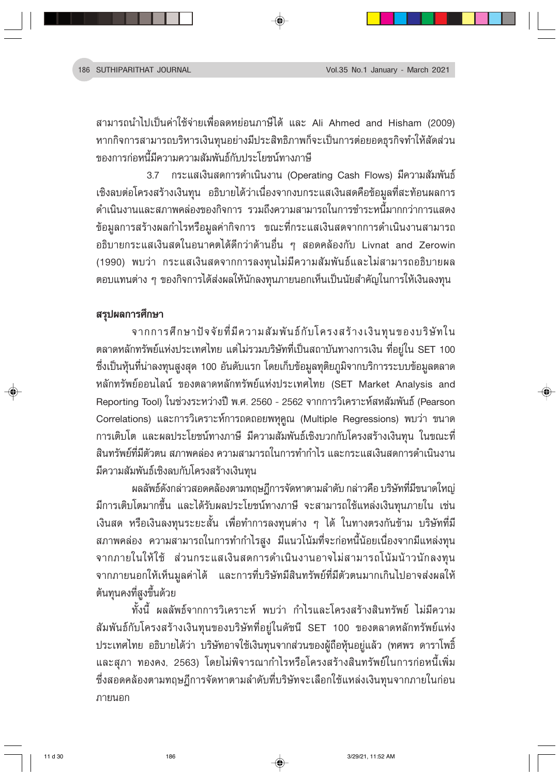ี่ สามารถนำไปเป็นค่าใช้จ่ายเพื่อลดหย่อนภาษีได้ และ Ali Ahmed and Hisham (2009) หากกิจการสามารถบริหารเงินทุนอย่างมีประสิทธิภาพก็จะเป็นการต่อยอดธรกิจทำให้สัดส่วน ของการก่อหนี้มีความความสัมพันธ์กับประโยชน์ทางภาษี

3.7 กระแสเงินสดการดำเนินงาน (Operating Cash Flows) มีความสัมพันธ์ เชิงลบต่อโครงสร้างเงินทุน อธิบายได้ว่าเนื่องจากงบกระแสเงินสดคือข้อมูลที่สะท้อนผลการ ้ดำเนินงานและสภาพคล่องของกิจการ รวมถึงความสามารถในการชำระหนี้มากกว่าการแสดง ข้อมูลการสร้างผลกำไรหรือมูลค่ากิจการ ขณะที่กระแสเงินสดจากการดำเนินงานสามารถ ้อธิบายกระแสเงินสดในอนาคตได้ดีกว่าด้านอื่น ๆ สอดคล้องกับ Livnat and Zerowin (1990) พบว่า กระแสเงินสดจากการลงทุนไม่มีความสัมพันธ์และไม่สามารถอธิบายผล ้ตอบแทนต่าง ๆ ของกิจการได้ส่งผลให้นักลงทุนภายนอกเห็นเป็นนัยสำคัญในการให้เงินลงทุน

## สรุปผลการศึกษา

จากการศึกษาปัจจัยที่มีความสัมพันธ์กับโครงสร้างเงินทุนของบริษัทใน ิตลาดหลักทรัพย์แห่งประเทศไทย แต่ไม่รวมบริษัทที่เป็นสถาบันทางการเงิน ที่อยู่ใน SET 100 ้ ซึ่งเป็นหุ้นที่น่าลงทุนสูงสุด 100 อันดับแรก โดยเก็บข้อมูลทุติยภูมิจากบริการระบบข้อมูลตลาด หลักทรัพย์ออนไลน์ ของตลาดหลักทรัพย์แห่งประเทศไทย (SET Market Analysis and Reporting Tool) ในช่วงระหว่างปี พ.ศ. 2560 - 2562 จากการวิเคราะห์สหสัมพันธ์ (Pearson Correlations) และการวิเคราะห์การถดถอยพหุคูณ (Multiple Regressions) พบว่า ขนาด การเติบโต และผลประโยชน์ทางภาษี มีความสัมพันธ์เชิงบวกกับโครงสร้างเงินทุน ในขณะที่ ้สินทรัพย์ที่มีตัวตน สภาพคล่อง ความสามารถในการทำกำไร และกระแสเงินสดการดำเนินงาน มีความสัมพันธ์เชิงลบกับโครงสร้างเงินทุน

ผลลัพธ์ดังกล่าวสอดคล้องตามทฤษฎีการจัดหาตามลำดับ กล่าวคือ บริษัทที่มีขนาดใหญ่ ่ มีการเติบโตมากขึ้น และได้รับผลประโยชน์ทางภาษี จะสามารถใช้แหล่งเงินทุนภายใน เช่น ้เงินสด หรือเงินลงทุนระยะสั้น เพื่อทำการลงทุนต่าง ๆ ได้ ในทางตรงกันข้าม บริษัทที่มี ิสภาพคล่อง ความสามารถในการทำกำไรสูง มีแนวโน้มที่จะก่อหนี้น้อยเนื่องจากมีแหล่งทุน จากภายในให้ใช้ ส่วนกระแสเงินสดการดำเนินงานอาจไม่สามารถโน้มน้าวนักลงทุน ี จากภายนอกให้เห็นมูลค่าได้ และการที่บริษัทมีสินทรัพย์ที่มีตัวตนมากเกินไปอาจส่งผลให้ ต้นทุนคงที่สูงขึ้นด้วย

ทั้งนี้ ผลลัพธ์จากการวิเคราะห์ พบว่า กำไรและโครงสร้างสินทรัพย์ ไม่มีความ สัมพันธ์กับโครงสร้างเงินทุนของบริษัทที่อยู่ในดัชนี SET 100 ของตลาดหลักทรัพย์แห่ง ี ประเทศไทย อธิบายได้ว่า บริษัทอาจใช้เงินทุนจากส่วนของผู้ถือหุ้นอยู่แล้ว (ทศพร ดาราโพธิ์ ี และสุภา ทองคง, 2563) โดยไม่พิจารณากำไรหรือโครงสร้างสินทรัพย์ในการก่อหนี้เพิ่ม ชึ่งสอดคล้องตามทฤษฎีการจัดหาตามลำดับที่บริษัทจะเลือกใช้แหล่งเงินทุนจากภายในก่อน ภายนอก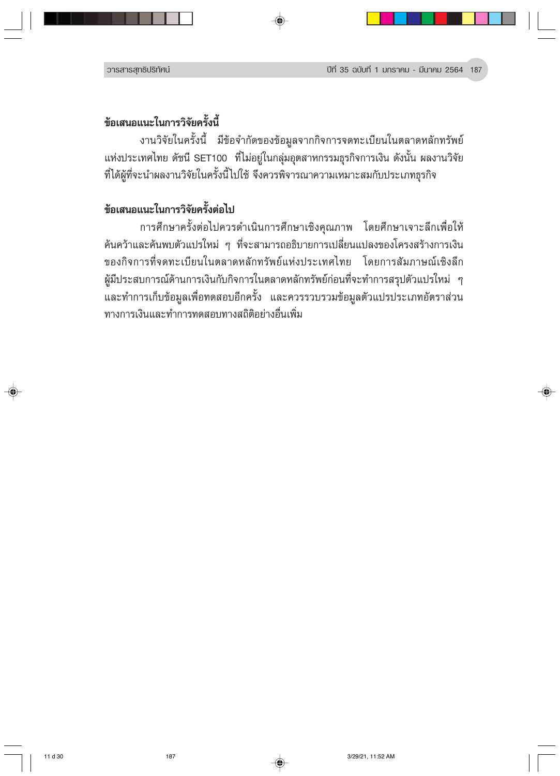# ข้อเสนอแนะในการวิจัยครั้งนี้

งานวิจัยในครั้งนี้ มีข้อจำกัดของข้อมูลจากกิจการจดทะเบียนในตลาดหลักทรัพย์ แห่งประเทศไทย ดัชนี SET100 ที่ไม่อยู่ในกลุ่มอุตสาหกรรมธุรกิจการเงิน ดังนั้น ผลงานวิจัย ้ที่ได้ผู้ที่จะนำผลงานวิจัยในครั้งนี้ไปใช้ จึงควรพิจารณาความเหมาะสมกับประเภทธุรกิจ

# ข้อเสนอแนะในการวิจัยครั้งต่อไป

การศึกษาครั้งต่อไปควรดำเนินการศึกษาเชิงคุณภาพ โดยศึกษาเจาะลึกเพื่อให้ ์คันคว้าและค้นพบตัวแปรใหม่ ๆ ที่จะสามารถอธิบายการเปลี่ยนแปลงของโครงสร้างการเงิน ของกิจการที่จดทะเบียนในตลาดหลักทรัพย์แห่งประเทศไทย โดยการสัมภาษณ์เชิงลึก ผู้มีประสบการณ์ด้านการเงินกับกิจการในตลาดหลักทรัพย์ก่อนที่จะทำการสรุปตัวแปรใหม่ ๆ ้และทำการเก็บข้อมูลเพื่อทดสอบอีกครั้ง และควรรวบรวมข้อมูลตัวแปรประเภทอัตราส่วน ทางการเงินและทำการทดสุกบทางสถิติกย่างอื่นเพิ่ม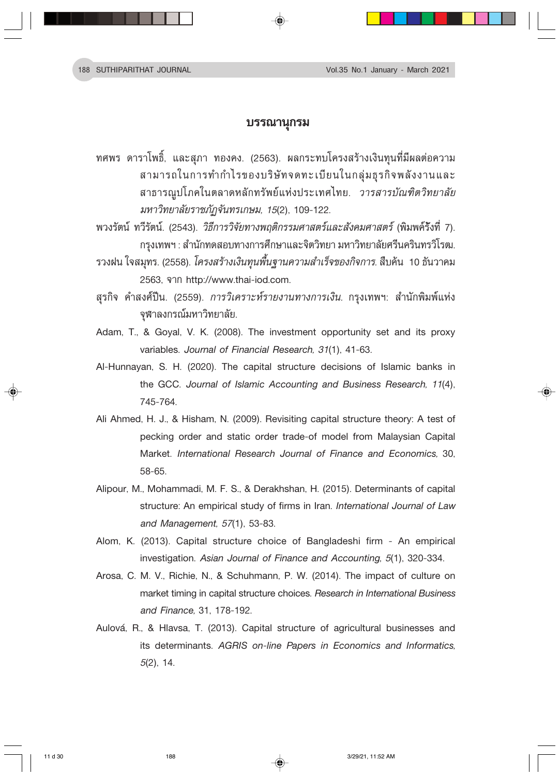#### บรรณานุกรม

- ทศพร ดาราโพธิ์, และสภา ทองคง. (2563). ผลกระทบโครงสร้างเงินทนที่มีผลต่อความ สามารถในการทำกำไรของบริษัทจดทะเบียนในกลุ่มธุรกิจพลังงานและ สาธารณปโภคในตลาดหลักทรัพย์แห่งประเทศไทย. *วารสารบัณฑิตวิทยาลัย* มหาวิทยาลัยราชภักจันทรเกษม, 15(2), 109-122.
- พวงรัตน์ ทวีรัตน์. (2543). *วิธีการวิจัยทางพฤติกรรมศาสตร์และสังคมศาสตร์ (*พิมพค์รังที่ 7). กรุงเทพฯ : สำนักทดสอบทางการศึกษาและจิตวิทยา มหาวิทยาลัยศรีนครินทรวิโรฒ.
- ี รวงฝน ใจสมุทร. (2558). *โครงสร้างเงินทุนพื้นฐานความสำเร็จของกิจการ.* สืบค้น 10 ธันวาคม 2563, จาก http://www.thai-iod.com.
- สุรกิจ คำสงศ์ปืน. (2559). *การวิเคราะห์รายงานทางการเงิน.* กรุงเทพฯ: สำนักพิมพ์แห่ง จุฬาลงกรณ์มหาวิทยาลัย.
- Adam, T., & Goyal, V. K. (2008). The investment opportunity set and its proxy variables. Journal of Financial Research, 31(1), 41-63.
- Al-Hunnayan, S. H. (2020). The capital structure decisions of Islamic banks in the GCC. Journal of Islamic Accounting and Business Research, 11(4), 745-764.
- Ali Ahmed, H. J., & Hisham, N. (2009). Revisiting capital structure theory: A test of pecking order and static order trade-of model from Malaysian Capital Market. International Research Journal of Finance and Economics, 30, 58-65.
- Alipour, M., Mohammadi, M. F. S., & Derakhshan, H. (2015). Determinants of capital structure: An empirical study of firms in Iran. International Journal of Law and Management, 57(1), 53-83.
- Alom, K. (2013). Capital structure choice of Bangladeshi firm An empirical investigation. Asian Journal of Finance and Accounting, 5(1), 320-334.
- Arosa, C. M. V., Richie, N., & Schuhmann, P. W. (2014). The impact of culture on market timing in capital structure choices. Research in International Business and Finance, 31, 178-192.
- Aulová, R., & Hlavsa, T. (2013). Capital structure of agricultural businesses and its determinants. AGRIS on-line Papers in Economics and Informatics,  $5(2)$ , 14.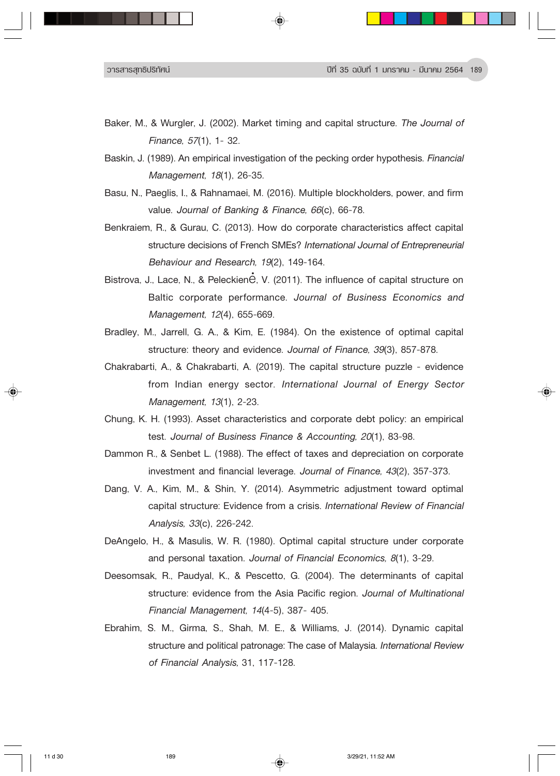- Baker, M., & Wurgler, J. (2002). Market timing and capital structure. *The Journal of Finance, 57*(1), 1- 32.
- Baskin, J. (1989). An empirical investigation of the pecking order hypothesis. *Financial Management, 18*(1), 26-35.
- Basu, N., Paeglis, I., & Rahnamaei, M. (2016). Multiple blockholders, power, and firm value. *Journal of Banking & Finance, 66*(c), 66-78.
- Benkraiem, R., & Gurau, C. (2013). How do corporate characteristics affect capital structure decisions of French SMEs? *International Journal of Entrepreneurial Behaviour and Research, 19*(2), 149-164.
- Bistrova, J., Lace, N., & Peleckiene, V. (2011). The influence of capital structure on Baltic corporate performance. *Journal of Business Economics and Management, 12*(4), 655-669.
- Bradley, M., Jarrell, G. A., & Kim, E. (1984). On the existence of optimal capital structure: theory and evidence. *Journal of Finance, 39*(3), 857-878.
- Chakrabarti, A., & Chakrabarti, A. (2019). The capital structure puzzle evidence from Indian energy sector. *International Journal of Energy Sector Management, 13*(1), 2-23.
- Chung, K. H. (1993). Asset characteristics and corporate debt policy: an empirical test. *Journal of Business Finance & Accounting, 20*(1), 83-98.
- Dammon R., & Senbet L. (1988). The effect of taxes and depreciation on corporate investment and financial leverage. *Journal of Finance, 43*(2), 357-373.
- Dang, V. A., Kim, M., & Shin, Y. (2014). Asymmetric adjustment toward optimal capital structure: Evidence from a crisis. *International Review of Financial Analysis, 33*(c), 226-242.
- DeAngelo, H., & Masulis, W. R. (1980). Optimal capital structure under corporate and personal taxation. *Journal of Financial Economics, 8*(1), 3-29.
- Deesomsak, R., Paudyal, K., & Pescetto, G. (2004). The determinants of capital structure: evidence from the Asia Pacific region. *Journal of Multinational Financial Management, 14*(4-5), 387- 405.
- Ebrahim, S. M., Girma, S., Shah, M. E., & Williams, J. (2014). Dynamic capital structure and political patronage: The case of Malaysia. *International Review of Financial Analysis,* 31, 117-128.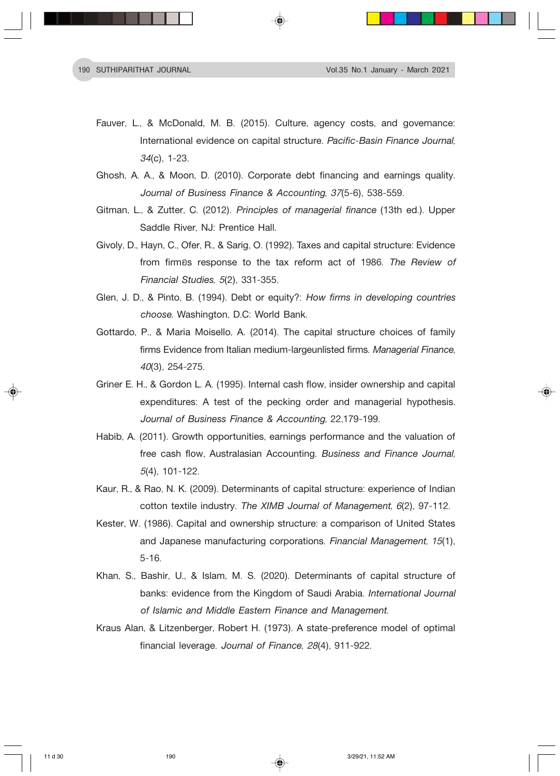- Fauver, L., & McDonald, M. B. (2015). Culture, agency costs, and governance: International evidence on capital structure. *Pacific-Basin Finance Journal, 34*(c), 1-23.
- Ghosh, A. A., & Moon, D. (2010). Corporate debt financing and earnings quality. *Journal of Business Finance & Accounting, 37*(5-6), 538-559.
- Gitman, L., & Zutter, C. (2012). *Principles of managerial finance* (13th ed.). Upper Saddle River, NJ: Prentice Hall.
- Givoly, D., Hayn, C., Ofer, R., & Sarig, O. (1992). Taxes and capital structure: Evidence from firmÕs response to the tax reform act of 1986. *The Review of Financial Studies, 5*(2), 331-355.
- Glen, J. D., & Pinto, B. (1994). Debt or equity?: *How firms in developing countries choose.* Washington, D.C: World Bank.
- Gottardo, P., & Maria Moisello, A. (2014). The capital structure choices of family firms Evidence from Italian medium-largeunlisted firms. *Managerial Finance, 40*(3), 254-275.
- Griner E. H., & Gordon L. A. (1995). Internal cash flow, insider ownership and capital expenditures: A test of the pecking order and managerial hypothesis. *Journal of Business Finance & Accounting,* 22,179-199.
- Habib, A. (2011). Growth opportunities, earnings performance and the valuation of free cash flow, Australasian Accounting. *Business and Finance Journal, 5*(4), 101-122.
- Kaur, R., & Rao, N. K. (2009). Determinants of capital structure: experience of Indian cotton textile industry. *The XIMB Journal of Management, 6*(2), 97-112.
- Kester, W. (1986). Capital and ownership structure: a comparison of United States and Japanese manufacturing corporations. *Financial Management, 15*(1), 5-16.
- Khan, S., Bashir, U., & Islam, M. S. (2020). Determinants of capital structure of banks: evidence from the Kingdom of Saudi Arabia. *International Journal of Islamic and Middle Eastern Finance and Management.*
- Kraus Alan, & Litzenberger, Robert H. (1973). A state-preference model of optimal financial leverage. *Journal of Finance, 28*(4), 911-922.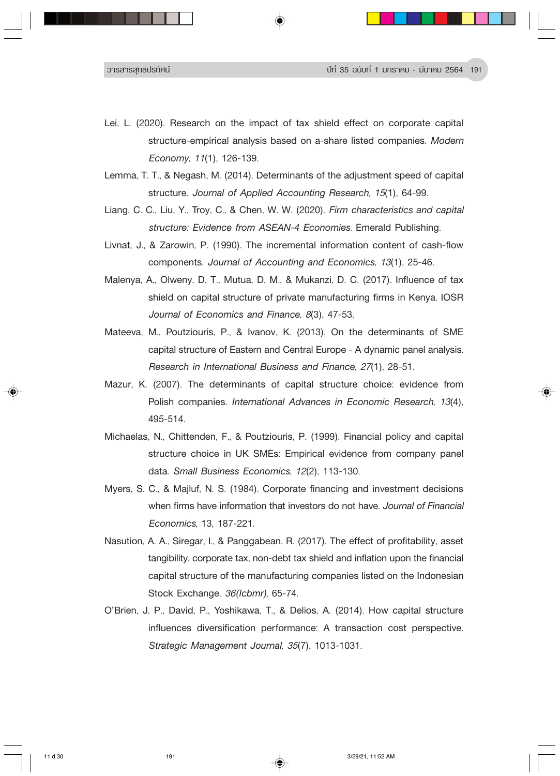- Lei, L. (2020). Research on the impact of tax shield effect on corporate capital structure-empirical analysis based on a-share listed companies. *Modern Economy, 11*(1), 126-139.
- Lemma, T. T., & Negash, M. (2014). Determinants of the adjustment speed of capital structure. *Journal of Applied Accounting Research, 15*(1), 64-99.
- Liang, C. C., Liu, Y., Troy, C., & Chen, W. W. (2020). *Firm characteristics and capital structure: Evidence from ASEAN-4 Economies.* Emerald Publishing.
- Livnat, J., & Zarowin, P. (1990). The incremental information content of cash-flow components. *Journal of Accounting and Economics, 13*(1), 25-46.
- Malenya, A., Olweny, D. T., Mutua, D. M., & Mukanzi, D. C. (2017). Influence of tax shield on capital structure of private manufacturing firms in Kenya. IOSR *Journal of Economics and Finance, 8*(3), 47-53.
- Mateeva, M., Poutziouris, P., & Ivanov, K. (2013). On the determinants of SME capital structure of Eastern and Central Europe - A dynamic panel analysis. *Research in International Business and Finance, 27*(1), 28-51.
- Mazur, K. (2007). The determinants of capital structure choice: evidence from Polish companies. *International Advances in Economic Research, 13*(4), 495-514.
- Michaelas, N., Chittenden, F., & Poutziouris, P. (1999). Financial policy and capital structure choice in UK SMEs: Empirical evidence from company panel data. *Small Business Economics, 12*(2), 113-130.
- Myers, S. C., & Majluf, N. S. (1984). Corporate financing and investment decisions when firms have information that investors do not have. *Journal of Financial Economics,* 13, 187-221.
- Nasution, A. A., Siregar, I., & Panggabean, R. (2017). The effect of profitability, asset tangibility, corporate tax, non-debt tax shield and inflation upon the financial capital structure of the manufacturing companies listed on the Indonesian Stock Exchange. *36(Icbmr),* 65-74.
- O'Brien, J. P., David, P., Yoshikawa, T., & Delios, A. (2014). How capital structure influences diversification performance: A transaction cost perspective. *Strategic Management Journal, 35*(7), 1013-1031.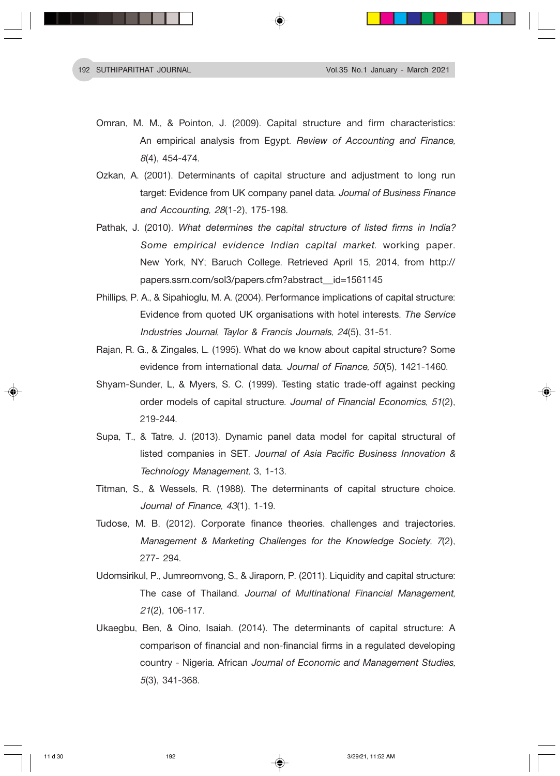- Omran, M. M., & Pointon, J. (2009). Capital structure and firm characteristics: An empirical analysis from Egypt. *Review of Accounting and Finance, 8*(4), 454-474.
- Ozkan, A. (2001). Determinants of capital structure and adjustment to long run target: Evidence from UK company panel data. *Journal of Business Finance and Accounting, 28*(1-2), 175-198.
- Pathak, J. (2010). *What determines the capital structure of listed firms in India? Some empirical evidence Indian capital market.* working paper. New York, NY; Baruch College. Retrieved April 15, 2014, from http:// papers.ssrn.com/sol3/papers.cfm?abstract\_id=1561145
- Phillips, P. A., & Sipahioglu, M. A. (2004). Performance implications of capital structure: Evidence from quoted UK organisations with hotel interests. *The Service Industries Journal, Taylor & Francis Journals, 24*(5), 31-51.
- Rajan, R. G., & Zingales, L. (1995). What do we know about capital structure? Some evidence from international data. *Journal of Finance, 50*(5), 1421-1460.
- Shyam-Sunder, L, & Myers, S. C. (1999). Testing static trade-off against pecking order models of capital structure. *Journal of Financial Economics, 51*(2), 219-244.
- Supa, T., & Tatre, J. (2013). Dynamic panel data model for capital structural of listed companies in SET. *Journal of Asia Pacific Business Innovation & Technology Management,* 3, 1-13.
- Titman, S., & Wessels, R. (1988). The determinants of capital structure choice. *Journal of Finance, 43*(1), 1-19.
- Tudose, M. B. (2012). Corporate finance theories. challenges and trajectories. *Management & Marketing Challenges for the Knowledge Society, 7*(2), 277- 294.
- Udomsirikul, P., Jumreornvong, S., & Jiraporn, P. (2011). Liquidity and capital structure: The case of Thailand. *Journal of Multinational Financial Management, 21*(2), 106-117.
- Ukaegbu, Ben, & Oino, Isaiah. (2014). The determinants of capital structure: A comparison of financial and non-financial firms in a regulated developing country - Nigeria. African *Journal of Economic and Management Studies, 5*(3), 341-368.